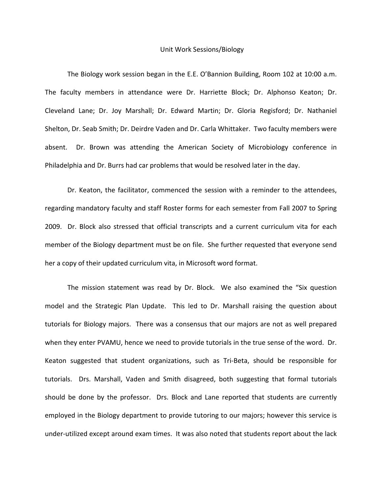## Unit Work Sessions/Biology

The Biology work session began in the E.E. O'Bannion Building, Room 102 at 10:00 a.m. The faculty members in attendance were Dr. Harriette Block; Dr. Alphonso Keaton; Dr. Cleveland Lane; Dr. Joy Marshall; Dr. Edward Martin; Dr. Gloria Regisford; Dr. Nathaniel Shelton, Dr. Seab Smith; Dr. Deirdre Vaden and Dr. Carla Whittaker. Two faculty members were absent. Dr. Brown was attending the American Society of Microbiology conference in Philadelphia and Dr. Burrs had car problems that would be resolved later in the day.

Dr. Keaton, the facilitator, commenced the session with a reminder to the attendees, regarding mandatory faculty and staff Roster forms for each semester from Fall 2007 to Spring 2009. Dr. Block also stressed that official transcripts and a current curriculum vita for each member of the Biology department must be on file. She further requested that everyone send her a copy of their updated curriculum vita, in Microsoft word format.

The mission statement was read by Dr. Block. We also examined the "Six question model and the Strategic Plan Update. This led to Dr. Marshall raising the question about tutorials for Biology majors. There was a consensus that our majors are not as well prepared when they enter PVAMU, hence we need to provide tutorials in the true sense of the word. Dr. Keaton suggested that student organizations, such as Tri‐Beta, should be responsible for tutorials. Drs. Marshall, Vaden and Smith disagreed, both suggesting that formal tutorials should be done by the professor. Drs. Block and Lane reported that students are currently employed in the Biology department to provide tutoring to our majors; however this service is under‐utilized except around exam times. It was also noted that students report about the lack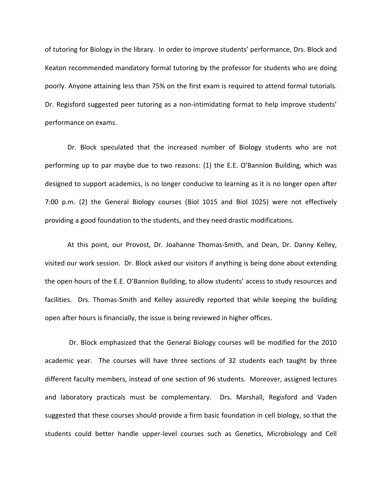of tutoring for Biology in the library. In order to improve students' performance, Drs. Block and Keaton recommended mandatory formal tutoring by the professor for students who are doing poorly. Anyone attaining less than 75% on the first exam is required to attend formal tutorials. Dr. Regisford suggested peer tutoring as a non-intimidating format to help improve students' performance on exams.

Dr. Block speculated that the increased number of Biology students who are not performing up to par maybe due to two reasons: (1) the E.E. O'Bannion Building, which was designed to support academics, is no longer conducive to learning as it is no longer open after 7:00 p.m. (2) the General Biology courses (Biol 1015 and Biol 1025) were not effectively providing a good foundation to the students, and they need drastic modifications.

At this point, our Provost, Dr. Joahanne Thomas‐Smith, and Dean, Dr. Danny Kelley, visited our work session. Dr. Block asked our visitors if anything is being done about extending the open hours of the E.E. O'Bannion Building, to allow students' access to study resources and facilities. Drs. Thomas-Smith and Kelley assuredly reported that while keeping the building open after hours is financially, the issue is being reviewed in higher offices.

Dr. Block emphasized that the General Biology courses will be modified for the 2010 academic year. The courses will have three sections of 32 students each taught by three different faculty members, instead of one section of 96 students. Moreover, assigned lectures and laboratory practicals must be complementary. Drs. Marshall, Regisford and Vaden suggested that these courses should provide a firm basic foundation in cell biology, so that the students could better handle upper‐level courses such as Genetics, Microbiology and Cell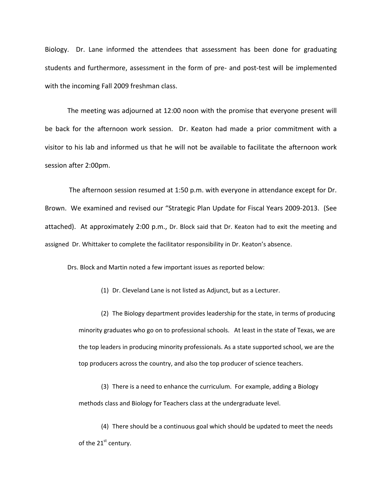Biology. Dr. Lane informed the attendees that assessment has been done for graduating students and furthermore, assessment in the form of pre‐ and post‐test will be implemented with the incoming Fall 2009 freshman class.

The meeting was adjourned at 12:00 noon with the promise that everyone present will be back for the afternoon work session. Dr. Keaton had made a prior commitment with a visitor to his lab and informed us that he will not be available to facilitate the afternoon work session after 2:00pm.

The afternoon session resumed at 1:50 p.m. with everyone in attendance except for Dr. Brown. We examined and revised our "Strategic Plan Update for Fiscal Years 2009‐2013. (See attached). At approximately 2:00 p.m., Dr. Block said that Dr. Keaton had to exit the meeting and assigned Dr. Whittaker to complete the facilitator responsibility in Dr. Keaton's absence.

Drs. Block and Martin noted a few important issues as reported below:

(1) Dr. Cleveland Lane is not listed as Adjunct, but as a Lecturer.

(2) The Biology department provides leadership for the state, in terms of producing minority graduates who go on to professional schools. At least in the state of Texas, we are the top leaders in producing minority professionals. As a state supported school, we are the top producers across the country, and also the top producer of science teachers.

(3) There is a need to enhance the curriculum. For example, adding a Biology methods class and Biology for Teachers class at the undergraduate level.

(4) There should be a continuous goal which should be updated to meet the needs of the 21<sup>st</sup> century.